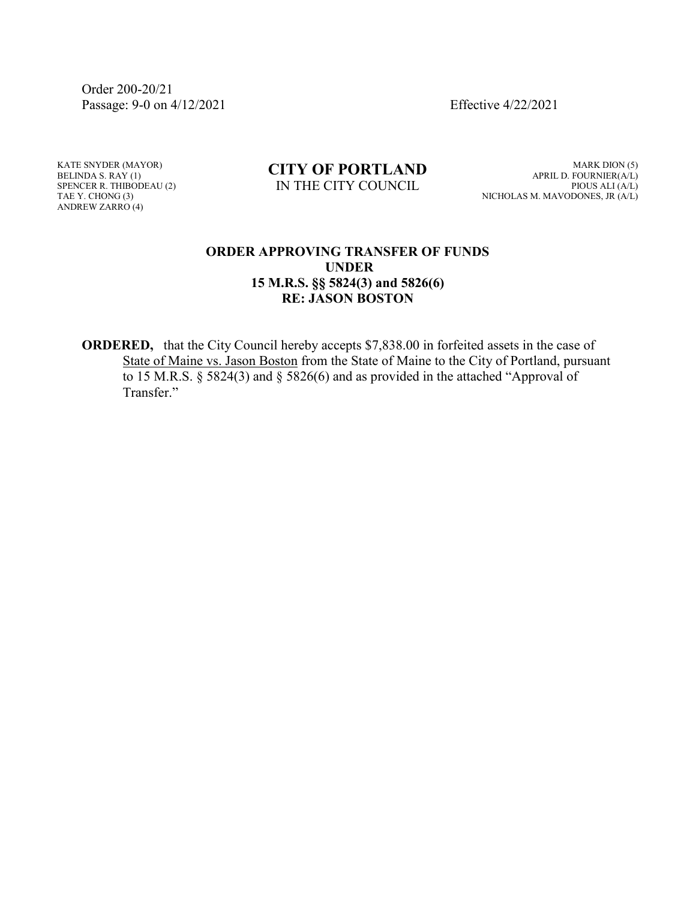Order 200-20/21 Passage: 9-0 on 4/12/2021 Effective 4/22/2021

KATE SNYDER (MAYOR) BELINDA S. RAY (1) SPENCER R. THIBODEAU (2) TAE Y. CHONG (3) ANDREW ZARRO (4)

## **CITY OF PORTLAND** IN THE CITY COUNCIL

MARK DION (5) APRIL D. FOURNIER(A/L) PIOUS ALI (A/L) NICHOLAS M. MAVODONES, JR (A/L)

## **ORDER APPROVING TRANSFER OF FUNDS UNDER 15 M.R.S. §§ 5824(3) and 5826(6) RE: JASON BOSTON**

**ORDERED,** that the City Council hereby accepts \$7,838.00 in forfeited assets in the case of State of Maine vs. Jason Boston from the State of Maine to the City of Portland, pursuant to 15 M.R.S. § 5824(3) and § 5826(6) and as provided in the attached "Approval of Transfer."